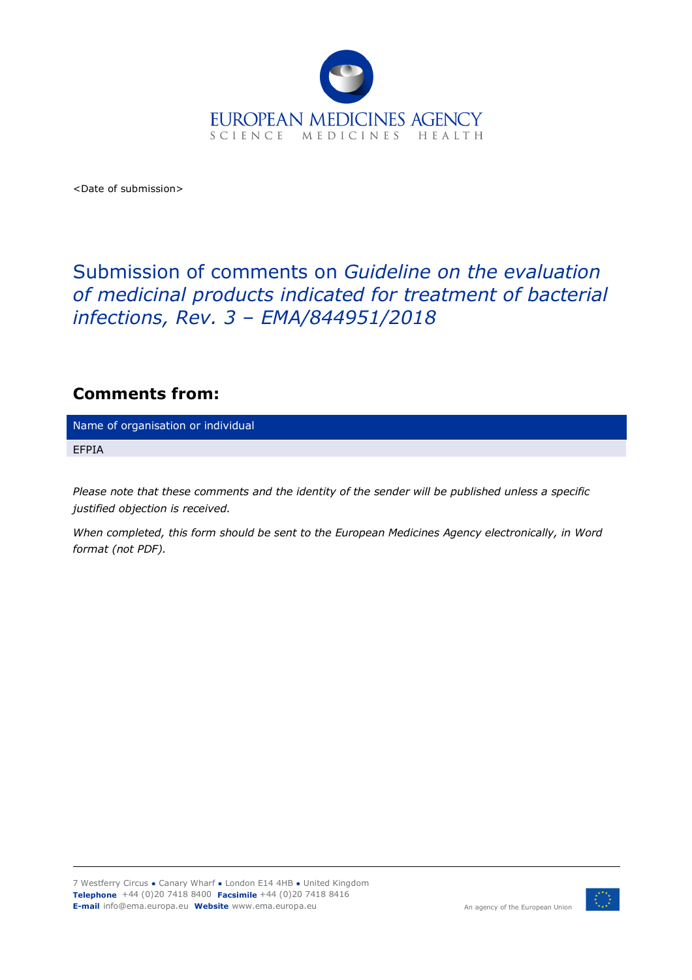

<Date of submission>

## Submission of comments on *Guideline on the evaluation of medicinal products indicated for treatment of bacterial infections, Rev. 3 – EMA/844951/2018*

## **Comments from:**

Name of organisation or individual

EFPIA

*Please note that these comments and the identity of the sender will be published unless a specific justified objection is received.*

*When completed, this form should be sent to the European Medicines Agency electronically, in Word format (not PDF).*

7 Westferry Circus **●** Canary Wharf **●** London E14 4HB **●** United Kingdom **Telephone** +44 (0)20 7418 8400 **Facsimile** +44 (0)20 7418 8416 **E-mail** info@ema.europa.eu **Website** www.ema.europa.eu



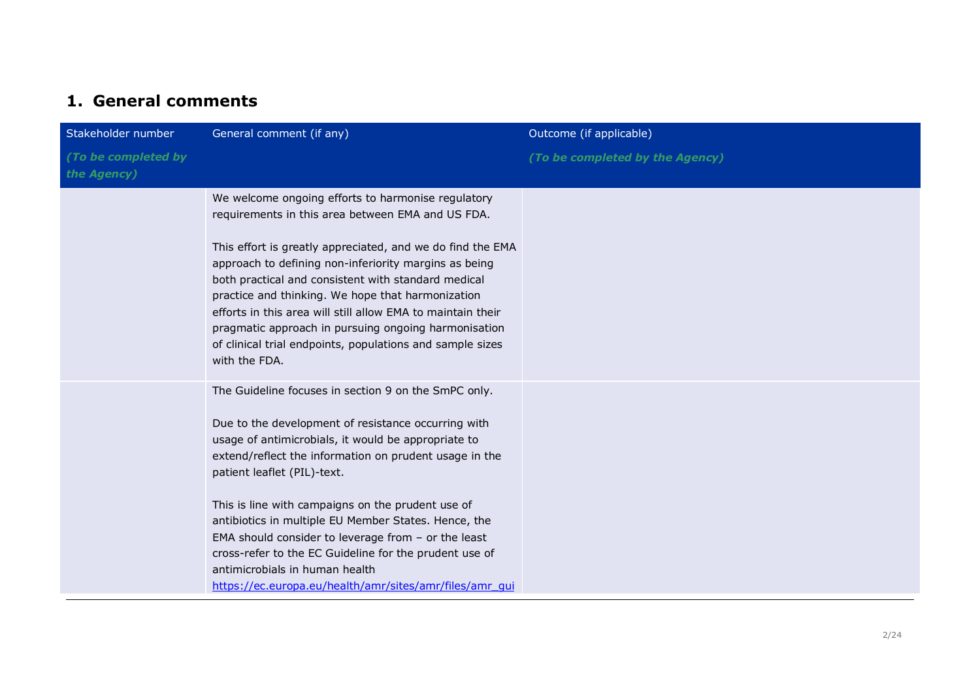## **1. General comments**

| Stakeholder number                 | General comment (if any)                                                                                                                                                                                                                                                                                                                                                                                                                                                                                                                                                                 | Outcome (if applicable)         |
|------------------------------------|------------------------------------------------------------------------------------------------------------------------------------------------------------------------------------------------------------------------------------------------------------------------------------------------------------------------------------------------------------------------------------------------------------------------------------------------------------------------------------------------------------------------------------------------------------------------------------------|---------------------------------|
| (To be completed by<br>the Agency) |                                                                                                                                                                                                                                                                                                                                                                                                                                                                                                                                                                                          | (To be completed by the Agency) |
|                                    | We welcome ongoing efforts to harmonise regulatory<br>requirements in this area between EMA and US FDA.<br>This effort is greatly appreciated, and we do find the EMA<br>approach to defining non-inferiority margins as being<br>both practical and consistent with standard medical<br>practice and thinking. We hope that harmonization<br>efforts in this area will still allow EMA to maintain their<br>pragmatic approach in pursuing ongoing harmonisation<br>of clinical trial endpoints, populations and sample sizes<br>with the FDA.                                          |                                 |
|                                    | The Guideline focuses in section 9 on the SmPC only.<br>Due to the development of resistance occurring with<br>usage of antimicrobials, it would be appropriate to<br>extend/reflect the information on prudent usage in the<br>patient leaflet (PIL)-text.<br>This is line with campaigns on the prudent use of<br>antibiotics in multiple EU Member States. Hence, the<br>EMA should consider to leverage from $-$ or the least<br>cross-refer to the EC Guideline for the prudent use of<br>antimicrobials in human health<br>https://ec.europa.eu/health/amr/sites/amr/files/amr_qui |                                 |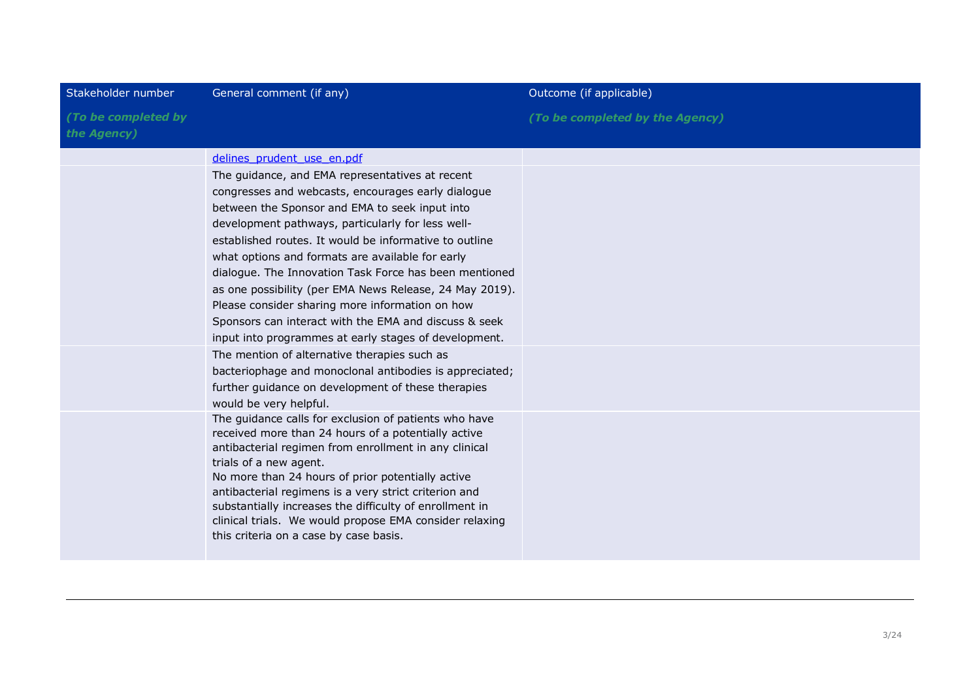| Stakeholder number                 | General comment (if any)                                                                                                                                                                                                                                                                                                                                                                                                                                                                                                                                                                                                                                                                                                                                                                                                                                                                                                                                                                                                                                                                                                                                       | Outcome (if applicable)         |
|------------------------------------|----------------------------------------------------------------------------------------------------------------------------------------------------------------------------------------------------------------------------------------------------------------------------------------------------------------------------------------------------------------------------------------------------------------------------------------------------------------------------------------------------------------------------------------------------------------------------------------------------------------------------------------------------------------------------------------------------------------------------------------------------------------------------------------------------------------------------------------------------------------------------------------------------------------------------------------------------------------------------------------------------------------------------------------------------------------------------------------------------------------------------------------------------------------|---------------------------------|
| (To be completed by<br>the Agency) |                                                                                                                                                                                                                                                                                                                                                                                                                                                                                                                                                                                                                                                                                                                                                                                                                                                                                                                                                                                                                                                                                                                                                                | (To be completed by the Agency) |
|                                    | delines prudent use en.pdf<br>The guidance, and EMA representatives at recent<br>congresses and webcasts, encourages early dialogue<br>between the Sponsor and EMA to seek input into<br>development pathways, particularly for less well-<br>established routes. It would be informative to outline<br>what options and formats are available for early<br>dialogue. The Innovation Task Force has been mentioned<br>as one possibility (per EMA News Release, 24 May 2019).<br>Please consider sharing more information on how<br>Sponsors can interact with the EMA and discuss & seek<br>input into programmes at early stages of development.<br>The mention of alternative therapies such as<br>bacteriophage and monoclonal antibodies is appreciated;<br>further guidance on development of these therapies<br>would be very helpful.<br>The guidance calls for exclusion of patients who have<br>received more than 24 hours of a potentially active<br>antibacterial regimen from enrollment in any clinical<br>trials of a new agent.<br>No more than 24 hours of prior potentially active<br>antibacterial regimens is a very strict criterion and |                                 |
|                                    | substantially increases the difficulty of enrollment in<br>clinical trials. We would propose EMA consider relaxing<br>this criteria on a case by case basis.                                                                                                                                                                                                                                                                                                                                                                                                                                                                                                                                                                                                                                                                                                                                                                                                                                                                                                                                                                                                   |                                 |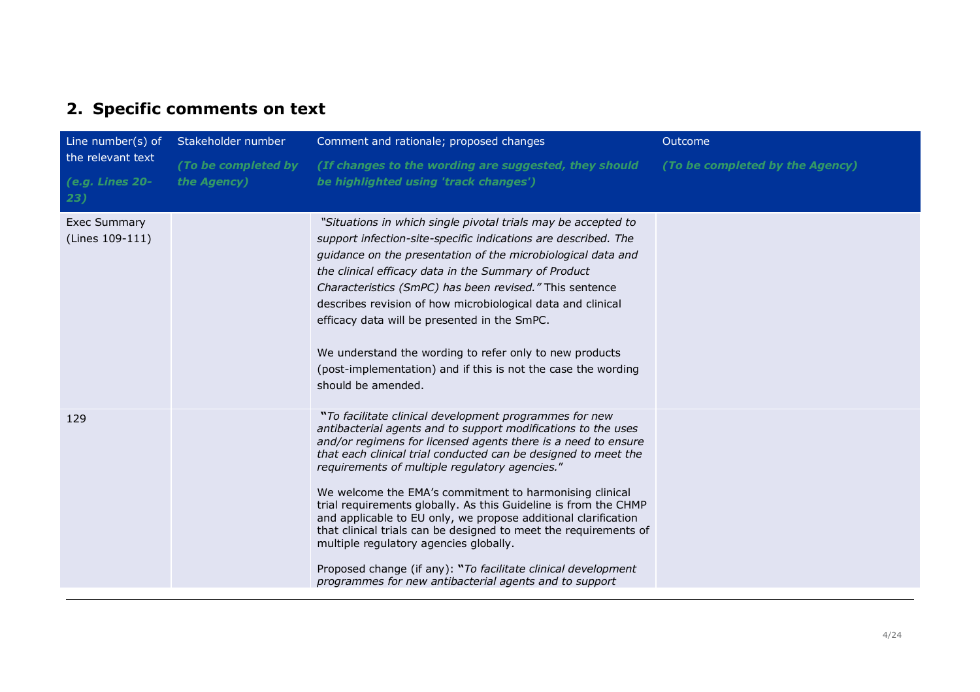## **2. Specific comments on text**

| Line number(s) of                           | Stakeholder number                 | Comment and rationale; proposed changes                                                                                                                                                                                                                                                                                                                                                                                                                                                                                                                                                                                                                                                                                                               | Outcome                         |
|---------------------------------------------|------------------------------------|-------------------------------------------------------------------------------------------------------------------------------------------------------------------------------------------------------------------------------------------------------------------------------------------------------------------------------------------------------------------------------------------------------------------------------------------------------------------------------------------------------------------------------------------------------------------------------------------------------------------------------------------------------------------------------------------------------------------------------------------------------|---------------------------------|
| the relevant text<br>(e.g. Lines 20-<br>23) | (To be completed by<br>the Agency) | (If changes to the wording are suggested, they should<br>be highlighted using 'track changes')                                                                                                                                                                                                                                                                                                                                                                                                                                                                                                                                                                                                                                                        | (To be completed by the Agency) |
| <b>Exec Summary</b><br>(Lines 109-111)      |                                    | "Situations in which single pivotal trials may be accepted to<br>support infection-site-specific indications are described. The<br>guidance on the presentation of the microbiological data and<br>the clinical efficacy data in the Summary of Product<br>Characteristics (SmPC) has been revised." This sentence<br>describes revision of how microbiological data and clinical<br>efficacy data will be presented in the SmPC.<br>We understand the wording to refer only to new products<br>(post-implementation) and if this is not the case the wording<br>should be amended.                                                                                                                                                                   |                                 |
| 129                                         |                                    | "To facilitate clinical development programmes for new<br>antibacterial agents and to support modifications to the uses<br>and/or regimens for licensed agents there is a need to ensure<br>that each clinical trial conducted can be designed to meet the<br>requirements of multiple regulatory agencies."<br>We welcome the EMA's commitment to harmonising clinical<br>trial requirements globally. As this Guideline is from the CHMP<br>and applicable to EU only, we propose additional clarification<br>that clinical trials can be designed to meet the requirements of<br>multiple regulatory agencies globally.<br>Proposed change (if any): "To facilitate clinical development<br>programmes for new antibacterial agents and to support |                                 |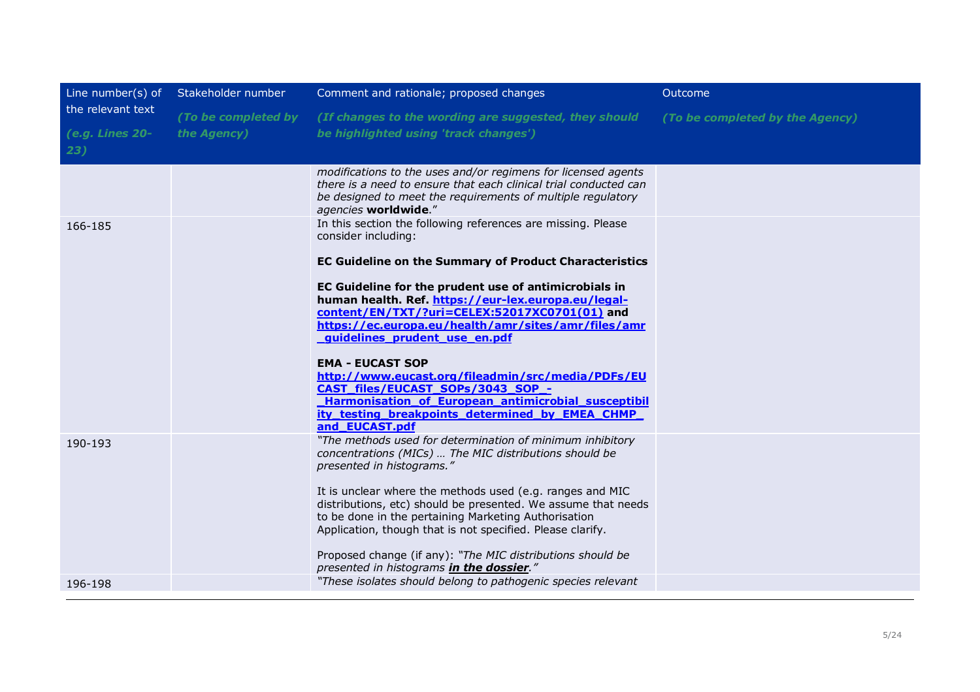| Line number(s) of                           | Stakeholder number                 | Comment and rationale; proposed changes                                                                                                                                                                                                                                                                                                                                                                                                                                                                                                                                                                                                                        | Outcome                         |
|---------------------------------------------|------------------------------------|----------------------------------------------------------------------------------------------------------------------------------------------------------------------------------------------------------------------------------------------------------------------------------------------------------------------------------------------------------------------------------------------------------------------------------------------------------------------------------------------------------------------------------------------------------------------------------------------------------------------------------------------------------------|---------------------------------|
| the relevant text<br>(e.g. Lines 20-<br>23) | (To be completed by<br>the Agency) | (If changes to the wording are suggested, they should<br>be highlighted using 'track changes')                                                                                                                                                                                                                                                                                                                                                                                                                                                                                                                                                                 | (To be completed by the Agency) |
|                                             |                                    | modifications to the uses and/or regimens for licensed agents<br>there is a need to ensure that each clinical trial conducted can<br>be designed to meet the requirements of multiple regulatory<br>agencies worldwide."                                                                                                                                                                                                                                                                                                                                                                                                                                       |                                 |
| 166-185                                     |                                    | In this section the following references are missing. Please<br>consider including:<br><b>EC Guideline on the Summary of Product Characteristics</b><br>EC Guideline for the prudent use of antimicrobials in<br>human health. Ref. https://eur-lex.europa.eu/legal-<br>content/EN/TXT/?uri=CELEX:52017XC0701(01) and<br>https://ec.europa.eu/health/amr/sites/amr/files/amr<br>quidelines prudent use en.pdf<br><b>EMA - EUCAST SOP</b><br>http://www.eucast.org/fileadmin/src/media/PDFs/EU<br>CAST_files/EUCAST_SOPs/3043_SOP_-<br>Harmonisation of European antimicrobial susceptibil<br>ity testing breakpoints determined by EMEA CHMP<br>and_EUCAST.pdf |                                 |
| 190-193                                     |                                    | "The methods used for determination of minimum inhibitory<br>concentrations (MICs)  The MIC distributions should be<br>presented in histograms."<br>It is unclear where the methods used (e.g. ranges and MIC<br>distributions, etc) should be presented. We assume that needs<br>to be done in the pertaining Marketing Authorisation<br>Application, though that is not specified. Please clarify.<br>Proposed change (if any): "The MIC distributions should be<br>presented in histograms in the dossier."                                                                                                                                                 |                                 |
| 196-198                                     |                                    | "These isolates should belong to pathogenic species relevant                                                                                                                                                                                                                                                                                                                                                                                                                                                                                                                                                                                                   |                                 |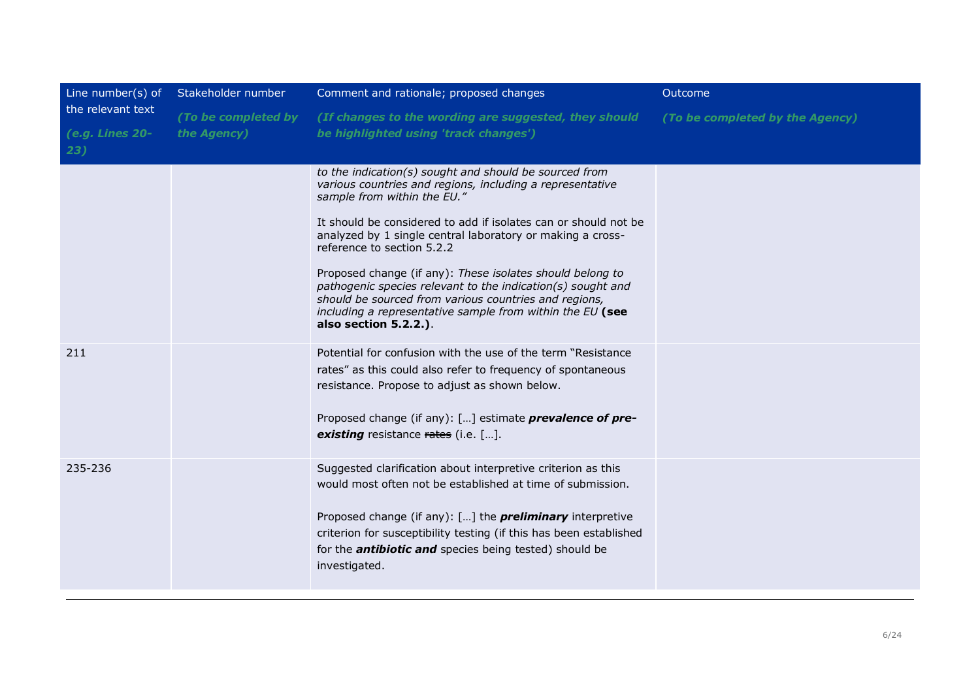| Line number(s) of      | Stakeholder number  | Comment and rationale; proposed changes                                                                                                                                                                                                                                 | Outcome                         |
|------------------------|---------------------|-------------------------------------------------------------------------------------------------------------------------------------------------------------------------------------------------------------------------------------------------------------------------|---------------------------------|
| the relevant text      | (To be completed by | (If changes to the wording are suggested, they should                                                                                                                                                                                                                   | (To be completed by the Agency) |
| (e.g. Lines 20-<br>23) | the Agency)         | be highlighted using 'track changes')                                                                                                                                                                                                                                   |                                 |
|                        |                     | to the indication(s) sought and should be sourced from<br>various countries and regions, including a representative<br>sample from within the EU."<br>It should be considered to add if isolates can or should not be                                                   |                                 |
|                        |                     | analyzed by 1 single central laboratory or making a cross-<br>reference to section 5.2.2                                                                                                                                                                                |                                 |
|                        |                     | Proposed change (if any): These isolates should belong to<br>pathogenic species relevant to the indication(s) sought and<br>should be sourced from various countries and regions,<br>including a representative sample from within the EU (see<br>also section 5.2.2.). |                                 |
| 211                    |                     | Potential for confusion with the use of the term "Resistance"<br>rates" as this could also refer to frequency of spontaneous<br>resistance. Propose to adjust as shown below.                                                                                           |                                 |
|                        |                     | Proposed change (if any): [] estimate <b>prevalence of pre-</b><br><b>existing</b> resistance rates (i.e. $[\dots]$ .                                                                                                                                                   |                                 |
| 235-236                |                     | Suggested clarification about interpretive criterion as this<br>would most often not be established at time of submission.                                                                                                                                              |                                 |
|                        |                     | Proposed change (if any): $[]$ the <i>preliminary</i> interpretive<br>criterion for susceptibility testing (if this has been established<br>for the <b>antibiotic and</b> species being tested) should be<br>investigated.                                              |                                 |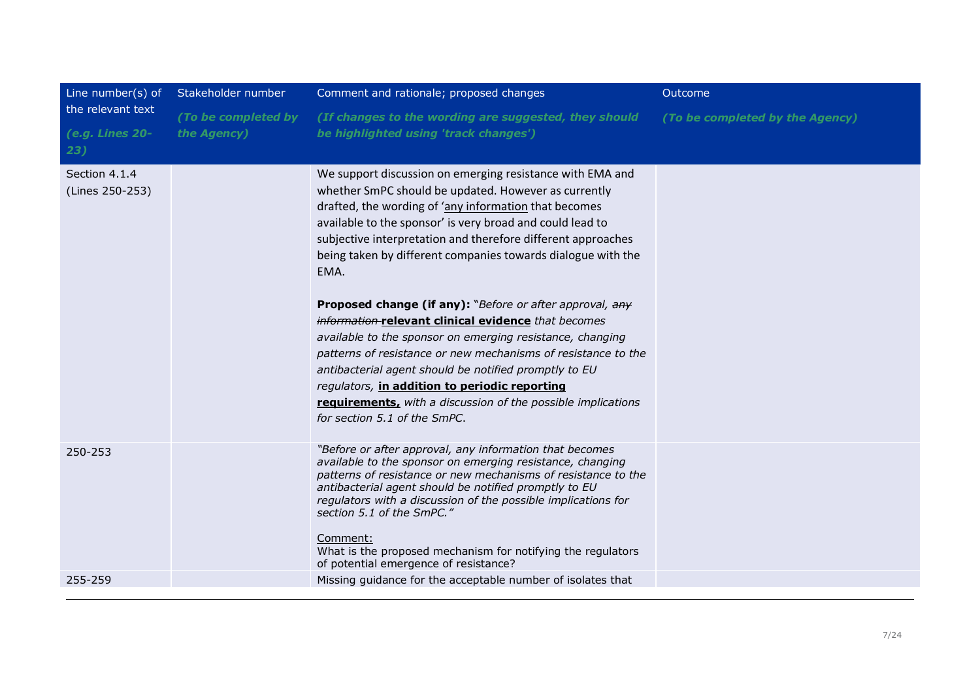| Line number(s) of                           | Stakeholder number                 | Comment and rationale; proposed changes                                                                                                                                                                                                                                                                                                                                                                                                                                                                                                                                                                                                                                                                                                                                                                                                    | Outcome                         |
|---------------------------------------------|------------------------------------|--------------------------------------------------------------------------------------------------------------------------------------------------------------------------------------------------------------------------------------------------------------------------------------------------------------------------------------------------------------------------------------------------------------------------------------------------------------------------------------------------------------------------------------------------------------------------------------------------------------------------------------------------------------------------------------------------------------------------------------------------------------------------------------------------------------------------------------------|---------------------------------|
| the relevant text<br>(e.g. Lines 20-<br>23) | (To be completed by<br>the Agency) | (If changes to the wording are suggested, they should<br>be highlighted using 'track changes')                                                                                                                                                                                                                                                                                                                                                                                                                                                                                                                                                                                                                                                                                                                                             | (To be completed by the Agency) |
| Section 4.1.4<br>(Lines 250-253)            |                                    | We support discussion on emerging resistance with EMA and<br>whether SmPC should be updated. However as currently<br>drafted, the wording of 'any information that becomes<br>available to the sponsor' is very broad and could lead to<br>subjective interpretation and therefore different approaches<br>being taken by different companies towards dialogue with the<br>EMA.<br>Proposed change (if any): "Before or after approval, any<br>information-relevant clinical evidence that becomes<br>available to the sponsor on emerging resistance, changing<br>patterns of resistance or new mechanisms of resistance to the<br>antibacterial agent should be notified promptly to EU<br>regulators, in addition to periodic reporting<br>requirements, with a discussion of the possible implications<br>for section 5.1 of the SmPC. |                                 |
| 250-253                                     |                                    | "Before or after approval, any information that becomes<br>available to the sponsor on emerging resistance, changing<br>patterns of resistance or new mechanisms of resistance to the<br>antibacterial agent should be notified promptly to EU<br>regulators with a discussion of the possible implications for<br>section 5.1 of the SmPC."<br>Comment:<br>What is the proposed mechanism for notifying the regulators<br>of potential emergence of resistance?                                                                                                                                                                                                                                                                                                                                                                           |                                 |
| 255-259                                     |                                    | Missing guidance for the acceptable number of isolates that                                                                                                                                                                                                                                                                                                                                                                                                                                                                                                                                                                                                                                                                                                                                                                                |                                 |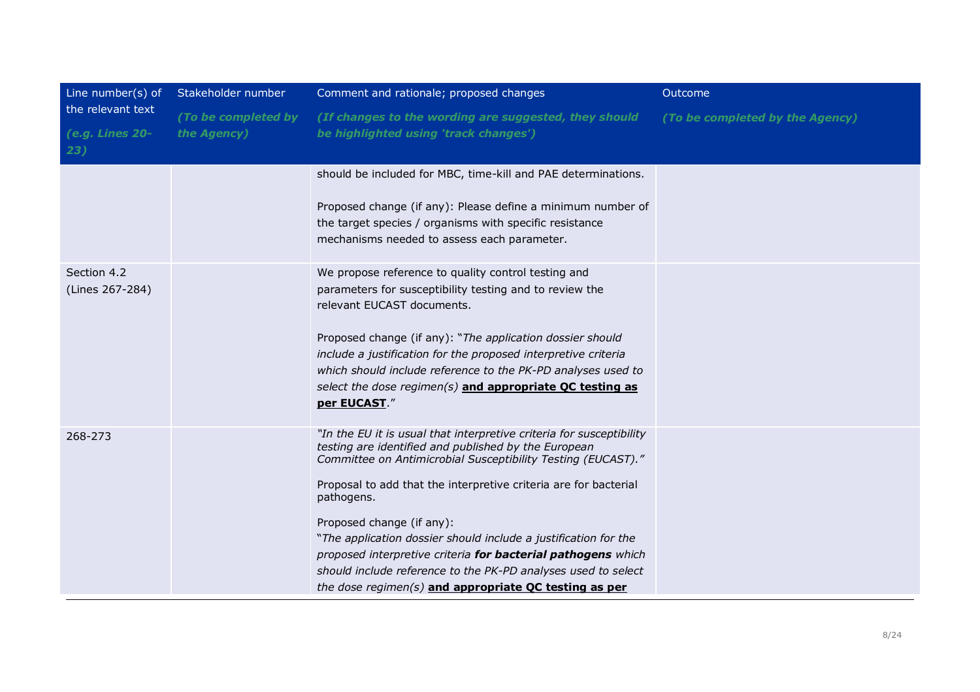| Line number(s) of                           | Stakeholder number                 | Comment and rationale; proposed changes                                                                                                                                                                                                                                                                                                                                                                                                                                                                                                                                  | Outcome                         |
|---------------------------------------------|------------------------------------|--------------------------------------------------------------------------------------------------------------------------------------------------------------------------------------------------------------------------------------------------------------------------------------------------------------------------------------------------------------------------------------------------------------------------------------------------------------------------------------------------------------------------------------------------------------------------|---------------------------------|
| the relevant text<br>(e.g. Lines 20-<br>23) | (To be completed by<br>the Agency) | (If changes to the wording are suggested, they should<br>be highlighted using 'track changes')                                                                                                                                                                                                                                                                                                                                                                                                                                                                           | (To be completed by the Agency) |
|                                             |                                    | should be included for MBC, time-kill and PAE determinations.<br>Proposed change (if any): Please define a minimum number of<br>the target species / organisms with specific resistance<br>mechanisms needed to assess each parameter.                                                                                                                                                                                                                                                                                                                                   |                                 |
| Section 4.2<br>(Lines 267-284)              |                                    | We propose reference to quality control testing and<br>parameters for susceptibility testing and to review the<br>relevant EUCAST documents.<br>Proposed change (if any): "The application dossier should<br>include a justification for the proposed interpretive criteria<br>which should include reference to the PK-PD analyses used to<br>select the dose regimen(s) and appropriate QC testing as<br>per EUCAST."                                                                                                                                                  |                                 |
| 268-273                                     |                                    | "In the EU it is usual that interpretive criteria for susceptibility<br>testing are identified and published by the European<br>Committee on Antimicrobial Susceptibility Testing (EUCAST)."<br>Proposal to add that the interpretive criteria are for bacterial<br>pathogens.<br>Proposed change (if any):<br>"The application dossier should include a justification for the<br>proposed interpretive criteria for bacterial pathogens which<br>should include reference to the PK-PD analyses used to select<br>the dose regimen(s) and appropriate QC testing as per |                                 |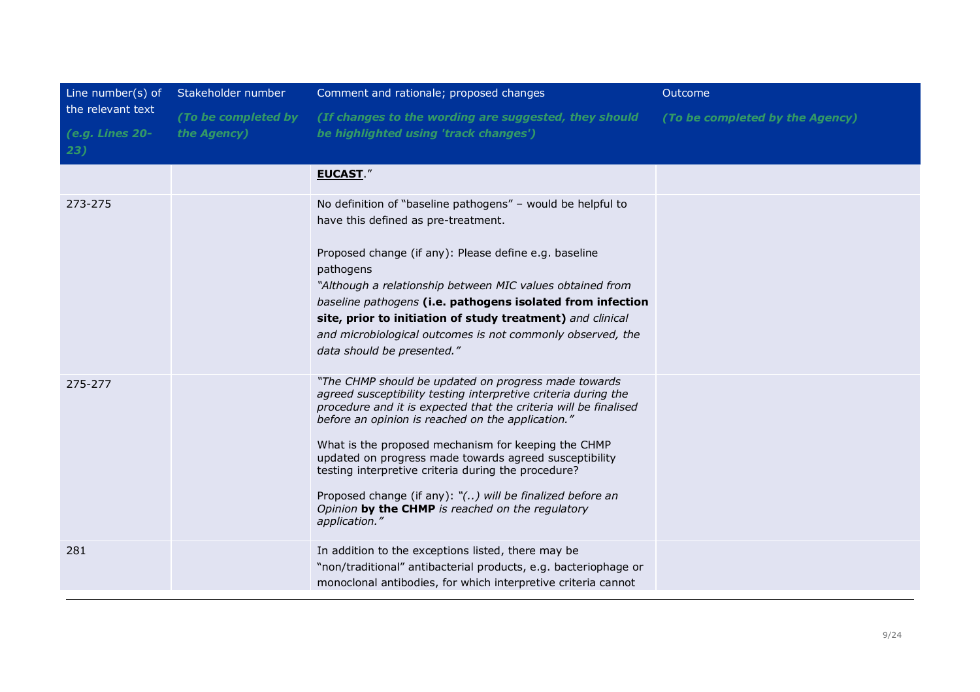| Line number(s) of<br>the relevant text<br>(e.g. Lines 20-<br>23) | Stakeholder number                 | Comment and rationale; proposed changes                                                                                                                                                                                                                                                                                                                                                                                                                                                                                                                                  | Outcome                         |
|------------------------------------------------------------------|------------------------------------|--------------------------------------------------------------------------------------------------------------------------------------------------------------------------------------------------------------------------------------------------------------------------------------------------------------------------------------------------------------------------------------------------------------------------------------------------------------------------------------------------------------------------------------------------------------------------|---------------------------------|
|                                                                  | (To be completed by<br>the Agency) | (If changes to the wording are suggested, they should<br>be highlighted using 'track changes')                                                                                                                                                                                                                                                                                                                                                                                                                                                                           | (To be completed by the Agency) |
|                                                                  |                                    | <b>EUCAST."</b>                                                                                                                                                                                                                                                                                                                                                                                                                                                                                                                                                          |                                 |
| 273-275                                                          |                                    | No definition of "baseline pathogens" - would be helpful to<br>have this defined as pre-treatment.<br>Proposed change (if any): Please define e.g. baseline<br>pathogens<br>"Although a relationship between MIC values obtained from<br>baseline pathogens (i.e. pathogens isolated from infection<br>site, prior to initiation of study treatment) and clinical<br>and microbiological outcomes is not commonly observed, the<br>data should be presented."                                                                                                            |                                 |
| 275-277                                                          |                                    | "The CHMP should be updated on progress made towards<br>agreed susceptibility testing interpretive criteria during the<br>procedure and it is expected that the criteria will be finalised<br>before an opinion is reached on the application."<br>What is the proposed mechanism for keeping the CHMP<br>updated on progress made towards agreed susceptibility<br>testing interpretive criteria during the procedure?<br>Proposed change (if any): $\sqrt[n]{\ldots}$ will be finalized before an<br>Opinion by the CHMP is reached on the regulatory<br>application." |                                 |
| 281                                                              |                                    | In addition to the exceptions listed, there may be<br>"non/traditional" antibacterial products, e.g. bacteriophage or<br>monoclonal antibodies, for which interpretive criteria cannot                                                                                                                                                                                                                                                                                                                                                                                   |                                 |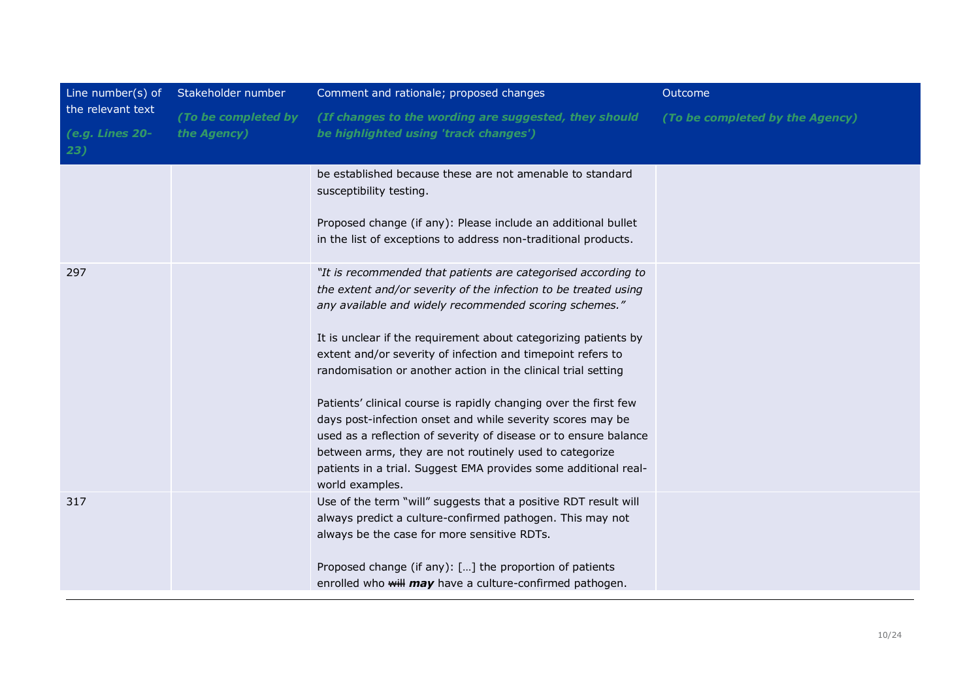| Line number(s) of                           | Stakeholder number                 | Comment and rationale; proposed changes                                                                                                                                                                                                                                                                                                                                                                                                                                                                                                                                                                                                                                                                                                              | Outcome                         |
|---------------------------------------------|------------------------------------|------------------------------------------------------------------------------------------------------------------------------------------------------------------------------------------------------------------------------------------------------------------------------------------------------------------------------------------------------------------------------------------------------------------------------------------------------------------------------------------------------------------------------------------------------------------------------------------------------------------------------------------------------------------------------------------------------------------------------------------------------|---------------------------------|
| the relevant text<br>(e.g. Lines 20-<br>23) | (To be completed by<br>the Agency) | (If changes to the wording are suggested, they should<br>be highlighted using 'track changes')                                                                                                                                                                                                                                                                                                                                                                                                                                                                                                                                                                                                                                                       | (To be completed by the Agency) |
|                                             |                                    | be established because these are not amenable to standard<br>susceptibility testing.<br>Proposed change (if any): Please include an additional bullet<br>in the list of exceptions to address non-traditional products.                                                                                                                                                                                                                                                                                                                                                                                                                                                                                                                              |                                 |
| 297                                         |                                    | "It is recommended that patients are categorised according to<br>the extent and/or severity of the infection to be treated using<br>any available and widely recommended scoring schemes."<br>It is unclear if the requirement about categorizing patients by<br>extent and/or severity of infection and timepoint refers to<br>randomisation or another action in the clinical trial setting<br>Patients' clinical course is rapidly changing over the first few<br>days post-infection onset and while severity scores may be<br>used as a reflection of severity of disease or to ensure balance<br>between arms, they are not routinely used to categorize<br>patients in a trial. Suggest EMA provides some additional real-<br>world examples. |                                 |
| 317                                         |                                    | Use of the term "will" suggests that a positive RDT result will<br>always predict a culture-confirmed pathogen. This may not<br>always be the case for more sensitive RDTs.<br>Proposed change (if any): [] the proportion of patients<br>enrolled who will may have a culture-confirmed pathogen.                                                                                                                                                                                                                                                                                                                                                                                                                                                   |                                 |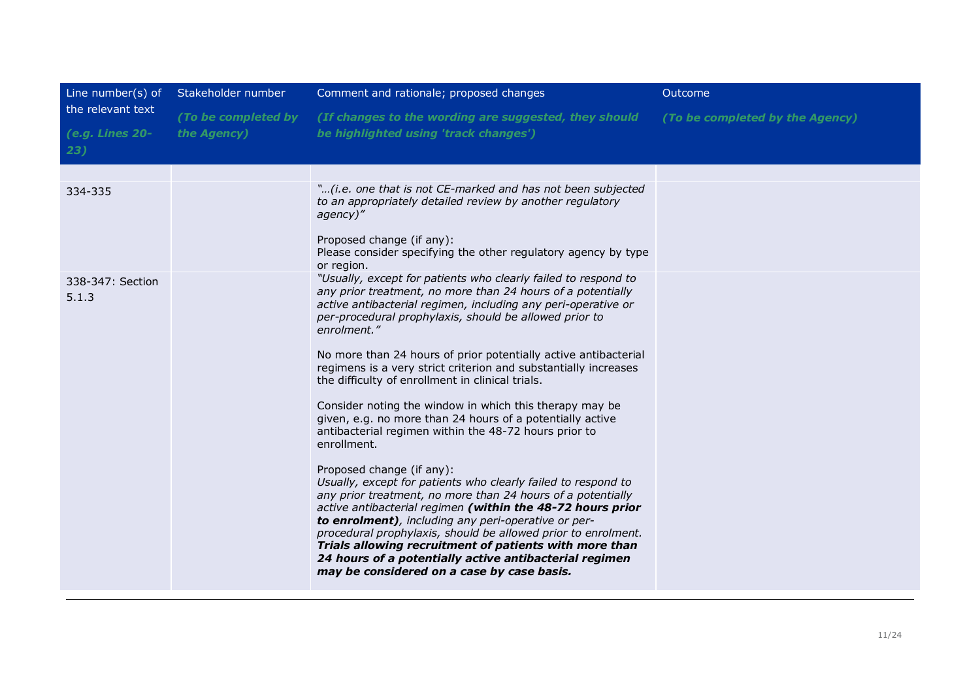| Line number(s) of         | Stakeholder number  | Comment and rationale; proposed changes                                                                                                                                                                                                                                                                                                                                                                                                                                                                                                                                                                                                                                                                                                                                                                                                                                                                                                                                                                                                                                                                                                                                                | Outcome                         |
|---------------------------|---------------------|----------------------------------------------------------------------------------------------------------------------------------------------------------------------------------------------------------------------------------------------------------------------------------------------------------------------------------------------------------------------------------------------------------------------------------------------------------------------------------------------------------------------------------------------------------------------------------------------------------------------------------------------------------------------------------------------------------------------------------------------------------------------------------------------------------------------------------------------------------------------------------------------------------------------------------------------------------------------------------------------------------------------------------------------------------------------------------------------------------------------------------------------------------------------------------------|---------------------------------|
| the relevant text         | (To be completed by | (If changes to the wording are suggested, they should                                                                                                                                                                                                                                                                                                                                                                                                                                                                                                                                                                                                                                                                                                                                                                                                                                                                                                                                                                                                                                                                                                                                  | (To be completed by the Agency) |
| (e.g. Lines 20-<br>23)    | the Agency)         | be highlighted using 'track changes')                                                                                                                                                                                                                                                                                                                                                                                                                                                                                                                                                                                                                                                                                                                                                                                                                                                                                                                                                                                                                                                                                                                                                  |                                 |
|                           |                     |                                                                                                                                                                                                                                                                                                                                                                                                                                                                                                                                                                                                                                                                                                                                                                                                                                                                                                                                                                                                                                                                                                                                                                                        |                                 |
| 334-335                   |                     | "(i.e. one that is not CE-marked and has not been subjected<br>to an appropriately detailed review by another regulatory<br>agency)"<br>Proposed change (if any):<br>Please consider specifying the other regulatory agency by type<br>or region.                                                                                                                                                                                                                                                                                                                                                                                                                                                                                                                                                                                                                                                                                                                                                                                                                                                                                                                                      |                                 |
| 338-347: Section<br>5.1.3 |                     | "Usually, except for patients who clearly failed to respond to<br>any prior treatment, no more than 24 hours of a potentially<br>active antibacterial regimen, including any peri-operative or<br>per-procedural prophylaxis, should be allowed prior to<br>enrolment."<br>No more than 24 hours of prior potentially active antibacterial<br>regimens is a very strict criterion and substantially increases<br>the difficulty of enrollment in clinical trials.<br>Consider noting the window in which this therapy may be<br>given, e.g. no more than 24 hours of a potentially active<br>antibacterial regimen within the 48-72 hours prior to<br>enrollment.<br>Proposed change (if any):<br>Usually, except for patients who clearly failed to respond to<br>any prior treatment, no more than 24 hours of a potentially<br>active antibacterial regimen (within the 48-72 hours prior<br>to enrolment), including any peri-operative or per-<br>procedural prophylaxis, should be allowed prior to enrolment.<br>Trials allowing recruitment of patients with more than<br>24 hours of a potentially active antibacterial regimen<br>may be considered on a case by case basis. |                                 |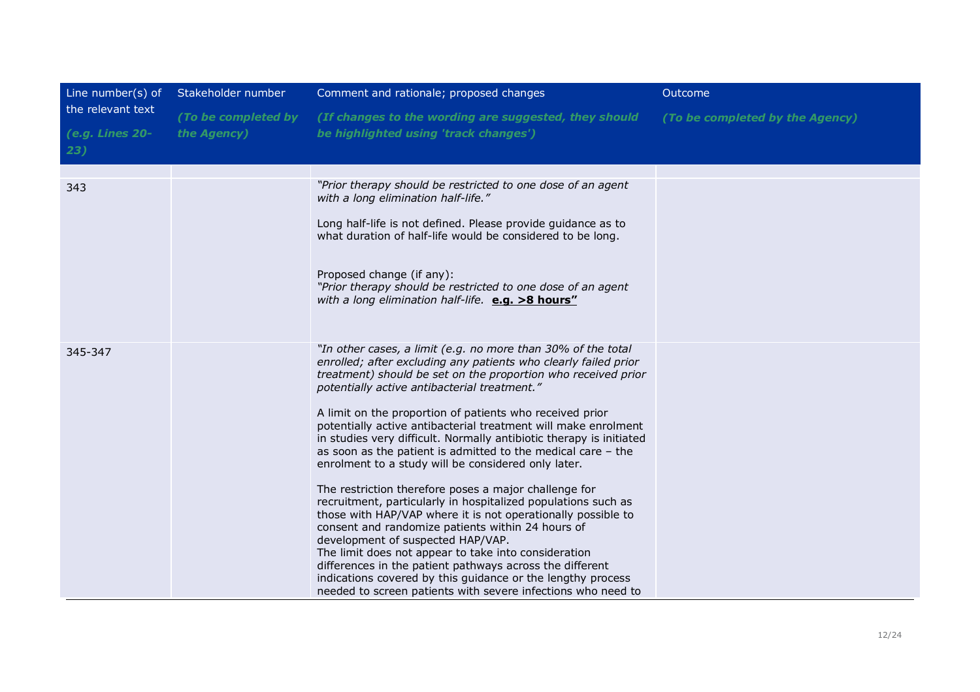| Line number(s) of                           | Stakeholder number                 | Comment and rationale; proposed changes                                                                                                                                                                                                                                                                                                                                                                                                                                                                                                                                                                                                                                                                                                                                                                                                                                                                                                                                                                                                                                                                             | Outcome                         |
|---------------------------------------------|------------------------------------|---------------------------------------------------------------------------------------------------------------------------------------------------------------------------------------------------------------------------------------------------------------------------------------------------------------------------------------------------------------------------------------------------------------------------------------------------------------------------------------------------------------------------------------------------------------------------------------------------------------------------------------------------------------------------------------------------------------------------------------------------------------------------------------------------------------------------------------------------------------------------------------------------------------------------------------------------------------------------------------------------------------------------------------------------------------------------------------------------------------------|---------------------------------|
| the relevant text<br>(e.g. Lines 20-<br>23) | (To be completed by<br>the Agency) | (If changes to the wording are suggested, they should<br>be highlighted using 'track changes')                                                                                                                                                                                                                                                                                                                                                                                                                                                                                                                                                                                                                                                                                                                                                                                                                                                                                                                                                                                                                      | (To be completed by the Agency) |
| 343                                         |                                    | "Prior therapy should be restricted to one dose of an agent<br>with a long elimination half-life."<br>Long half-life is not defined. Please provide guidance as to<br>what duration of half-life would be considered to be long.<br>Proposed change (if any):<br>"Prior therapy should be restricted to one dose of an agent<br>with a long elimination half-life. e.g. >8 hours"                                                                                                                                                                                                                                                                                                                                                                                                                                                                                                                                                                                                                                                                                                                                   |                                 |
| 345-347                                     |                                    | "In other cases, a limit (e.g. no more than 30% of the total<br>enrolled; after excluding any patients who clearly failed prior<br>treatment) should be set on the proportion who received prior<br>potentially active antibacterial treatment."<br>A limit on the proportion of patients who received prior<br>potentially active antibacterial treatment will make enrolment<br>in studies very difficult. Normally antibiotic therapy is initiated<br>as soon as the patient is admitted to the medical care - the<br>enrolment to a study will be considered only later.<br>The restriction therefore poses a major challenge for<br>recruitment, particularly in hospitalized populations such as<br>those with HAP/VAP where it is not operationally possible to<br>consent and randomize patients within 24 hours of<br>development of suspected HAP/VAP.<br>The limit does not appear to take into consideration<br>differences in the patient pathways across the different<br>indications covered by this guidance or the lengthy process<br>needed to screen patients with severe infections who need to |                                 |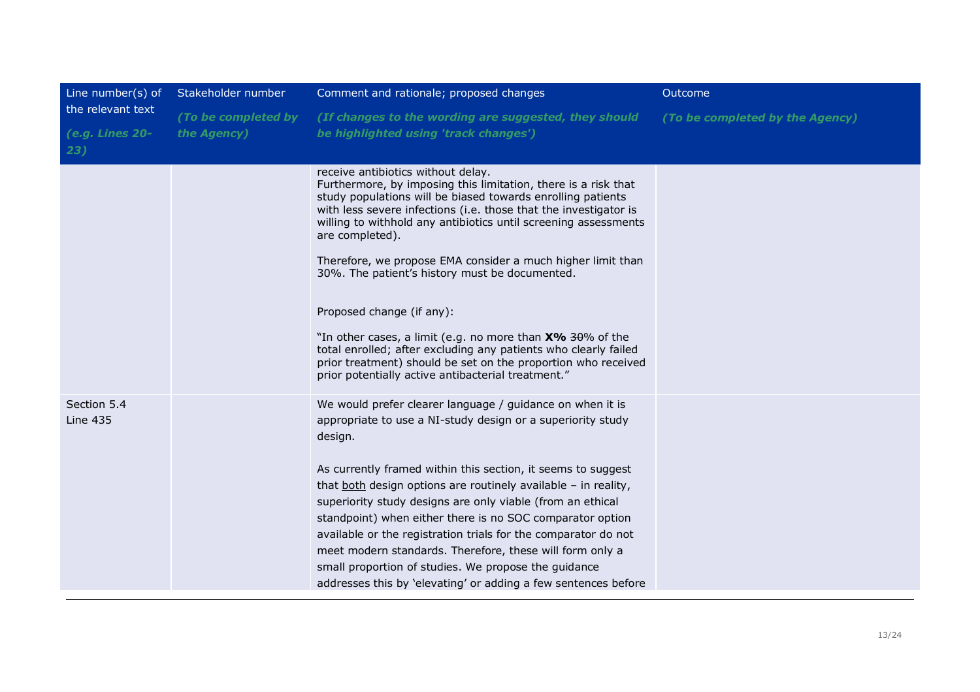| Line number(s) of              | Stakeholder number  | Comment and rationale; proposed changes                                                                                                                                                                                                                                                                                                                                                                                                                                                                                                                                                                                                                                                                                            | Outcome                         |
|--------------------------------|---------------------|------------------------------------------------------------------------------------------------------------------------------------------------------------------------------------------------------------------------------------------------------------------------------------------------------------------------------------------------------------------------------------------------------------------------------------------------------------------------------------------------------------------------------------------------------------------------------------------------------------------------------------------------------------------------------------------------------------------------------------|---------------------------------|
| the relevant text              | (To be completed by | (If changes to the wording are suggested, they should                                                                                                                                                                                                                                                                                                                                                                                                                                                                                                                                                                                                                                                                              | (To be completed by the Agency) |
| (e.g. Lines 20-                | the Agency)         | be highlighted using 'track changes')                                                                                                                                                                                                                                                                                                                                                                                                                                                                                                                                                                                                                                                                                              |                                 |
| 23)                            |                     |                                                                                                                                                                                                                                                                                                                                                                                                                                                                                                                                                                                                                                                                                                                                    |                                 |
|                                |                     | receive antibiotics without delay.<br>Furthermore, by imposing this limitation, there is a risk that<br>study populations will be biased towards enrolling patients<br>with less severe infections (i.e. those that the investigator is<br>willing to withhold any antibiotics until screening assessments<br>are completed).<br>Therefore, we propose EMA consider a much higher limit than<br>30%. The patient's history must be documented.<br>Proposed change (if any):<br>"In other cases, a limit (e.g. no more than X% 30% of the<br>total enrolled; after excluding any patients who clearly failed<br>prior treatment) should be set on the proportion who received<br>prior potentially active antibacterial treatment." |                                 |
|                                |                     |                                                                                                                                                                                                                                                                                                                                                                                                                                                                                                                                                                                                                                                                                                                                    |                                 |
| Section 5.4<br><b>Line 435</b> |                     | We would prefer clearer language / guidance on when it is<br>appropriate to use a NI-study design or a superiority study<br>design.<br>As currently framed within this section, it seems to suggest<br>that both design options are routinely available - in reality,<br>superiority study designs are only viable (from an ethical<br>standpoint) when either there is no SOC comparator option<br>available or the registration trials for the comparator do not<br>meet modern standards. Therefore, these will form only a<br>small proportion of studies. We propose the guidance<br>addresses this by 'elevating' or adding a few sentences before                                                                           |                                 |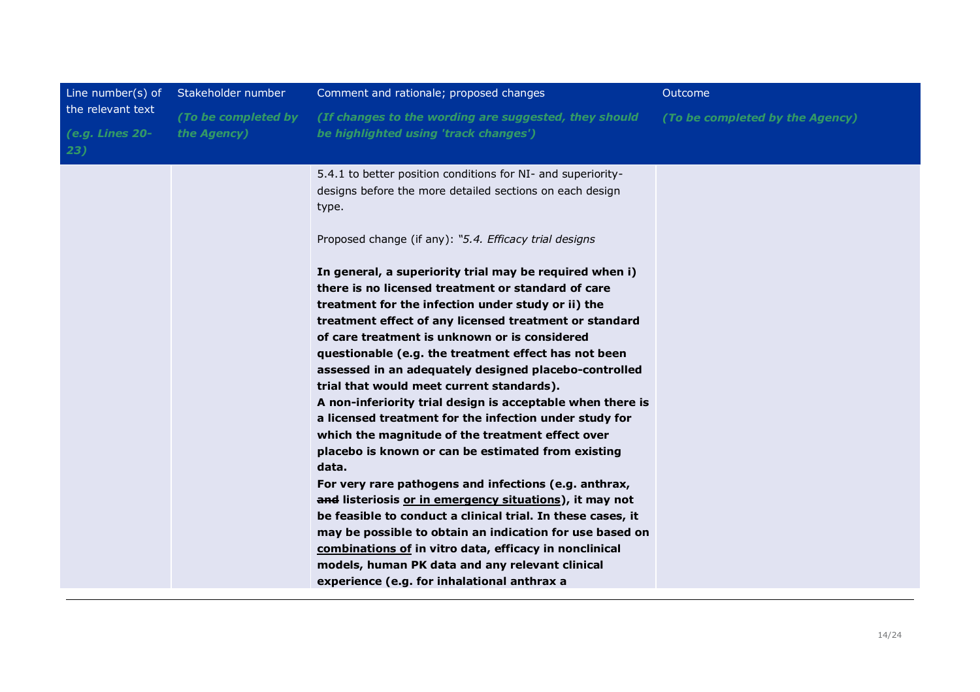| Line number(s) of                           | Stakeholder number                 | Comment and rationale; proposed changes                                                                                                                                                                                                                                                                                                                                                                                                                                                                                                                                                                                                                                                                                                                                                                                                                                                                                                                                                                                                                                                                                                                                                                                                                                                           | Outcome                         |
|---------------------------------------------|------------------------------------|---------------------------------------------------------------------------------------------------------------------------------------------------------------------------------------------------------------------------------------------------------------------------------------------------------------------------------------------------------------------------------------------------------------------------------------------------------------------------------------------------------------------------------------------------------------------------------------------------------------------------------------------------------------------------------------------------------------------------------------------------------------------------------------------------------------------------------------------------------------------------------------------------------------------------------------------------------------------------------------------------------------------------------------------------------------------------------------------------------------------------------------------------------------------------------------------------------------------------------------------------------------------------------------------------|---------------------------------|
| the relevant text<br>(e.g. Lines 20-<br>23) | (To be completed by<br>the Agency) | (If changes to the wording are suggested, they should<br>be highlighted using 'track changes')                                                                                                                                                                                                                                                                                                                                                                                                                                                                                                                                                                                                                                                                                                                                                                                                                                                                                                                                                                                                                                                                                                                                                                                                    | (To be completed by the Agency) |
|                                             |                                    | 5.4.1 to better position conditions for NI- and superiority-<br>designs before the more detailed sections on each design<br>type.<br>Proposed change (if any): "5.4. Efficacy trial designs<br>In general, a superiority trial may be required when i)<br>there is no licensed treatment or standard of care<br>treatment for the infection under study or ii) the<br>treatment effect of any licensed treatment or standard<br>of care treatment is unknown or is considered<br>questionable (e.g. the treatment effect has not been<br>assessed in an adequately designed placebo-controlled<br>trial that would meet current standards).<br>A non-inferiority trial design is acceptable when there is<br>a licensed treatment for the infection under study for<br>which the magnitude of the treatment effect over<br>placebo is known or can be estimated from existing<br>data.<br>For very rare pathogens and infections (e.g. anthrax,<br>and listeriosis or in emergency situations), it may not<br>be feasible to conduct a clinical trial. In these cases, it<br>may be possible to obtain an indication for use based on<br>combinations of in vitro data, efficacy in nonclinical<br>models, human PK data and any relevant clinical<br>experience (e.g. for inhalational anthrax a |                                 |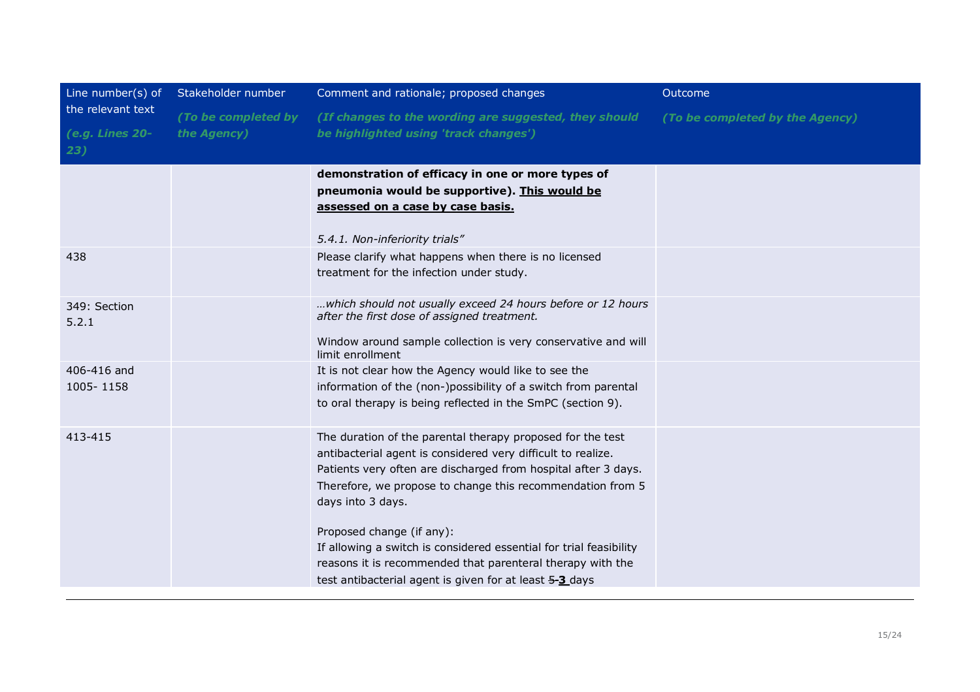| Line number(s) of      | Stakeholder number  | Comment and rationale; proposed changes                                                                                    | Outcome                         |
|------------------------|---------------------|----------------------------------------------------------------------------------------------------------------------------|---------------------------------|
| the relevant text      | (To be completed by | (If changes to the wording are suggested, they should                                                                      | (To be completed by the Agency) |
| (e.g. Lines 20-<br>23) | the Agency)         | be highlighted using 'track changes')                                                                                      |                                 |
|                        |                     | demonstration of efficacy in one or more types of                                                                          |                                 |
|                        |                     | pneumonia would be supportive). This would be                                                                              |                                 |
|                        |                     | assessed on a case by case basis.                                                                                          |                                 |
|                        |                     | 5.4.1. Non-inferiority trials"                                                                                             |                                 |
| 438                    |                     | Please clarify what happens when there is no licensed                                                                      |                                 |
|                        |                     | treatment for the infection under study.                                                                                   |                                 |
| 349: Section<br>5.2.1  |                     | which should not usually exceed 24 hours before or 12 hours<br>after the first dose of assigned treatment.                 |                                 |
|                        |                     | Window around sample collection is very conservative and will<br>limit enrollment                                          |                                 |
| 406-416 and            |                     | It is not clear how the Agency would like to see the                                                                       |                                 |
| 1005-1158              |                     | information of the (non-)possibility of a switch from parental                                                             |                                 |
|                        |                     | to oral therapy is being reflected in the SmPC (section 9).                                                                |                                 |
| 413-415                |                     | The duration of the parental therapy proposed for the test<br>antibacterial agent is considered very difficult to realize. |                                 |
|                        |                     | Patients very often are discharged from hospital after 3 days.                                                             |                                 |
|                        |                     | Therefore, we propose to change this recommendation from 5<br>days into 3 days.                                            |                                 |
|                        |                     | Proposed change (if any):                                                                                                  |                                 |
|                        |                     | If allowing a switch is considered essential for trial feasibility                                                         |                                 |
|                        |                     | reasons it is recommended that parenteral therapy with the                                                                 |                                 |
|                        |                     | test antibacterial agent is given for at least 5-3 days                                                                    |                                 |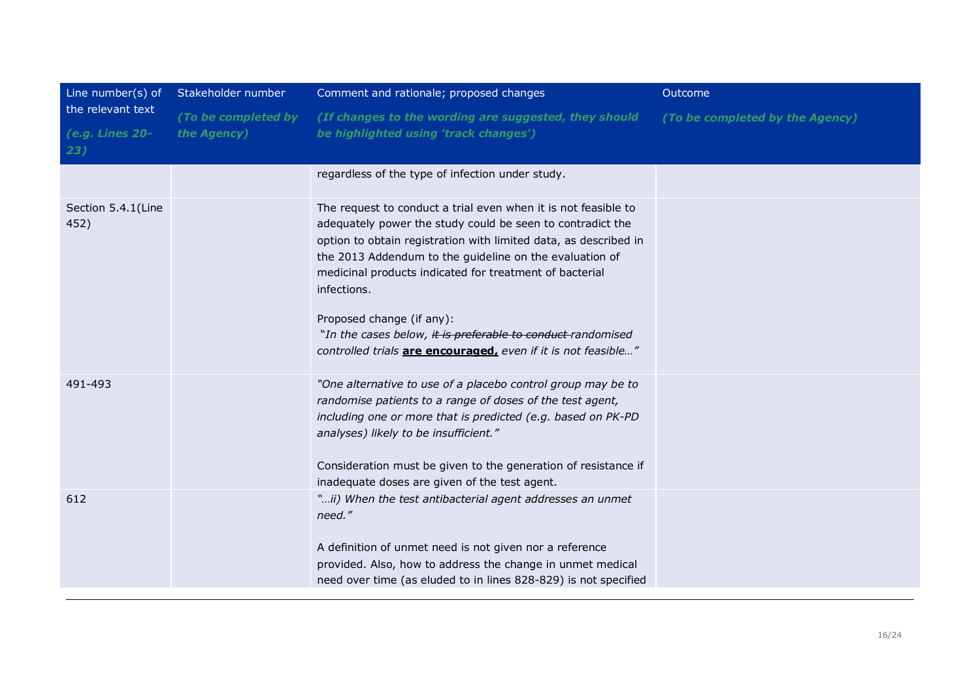| Line number(s) of<br>the relevant text<br>(e.g. Lines 20-<br>23) | Stakeholder number                 | Comment and rationale; proposed changes                                                                                                                                                                                                                                                                                                                                                                                                                                                            | Outcome                         |
|------------------------------------------------------------------|------------------------------------|----------------------------------------------------------------------------------------------------------------------------------------------------------------------------------------------------------------------------------------------------------------------------------------------------------------------------------------------------------------------------------------------------------------------------------------------------------------------------------------------------|---------------------------------|
|                                                                  | (To be completed by<br>the Agency) | (If changes to the wording are suggested, they should<br>be highlighted using 'track changes')                                                                                                                                                                                                                                                                                                                                                                                                     | (To be completed by the Agency) |
|                                                                  |                                    | regardless of the type of infection under study.                                                                                                                                                                                                                                                                                                                                                                                                                                                   |                                 |
| Section 5.4.1(Line<br>452)                                       |                                    | The request to conduct a trial even when it is not feasible to<br>adequately power the study could be seen to contradict the<br>option to obtain registration with limited data, as described in<br>the 2013 Addendum to the guideline on the evaluation of<br>medicinal products indicated for treatment of bacterial<br>infections.<br>Proposed change (if any):<br>"In the cases below, it is preferable to conduct-randomised<br>controlled trials are encouraged, even if it is not feasible" |                                 |
| 491-493                                                          |                                    | "One alternative to use of a placebo control group may be to<br>randomise patients to a range of doses of the test agent,<br>including one or more that is predicted (e.g. based on PK-PD<br>analyses) likely to be insufficient."<br>Consideration must be given to the generation of resistance if<br>inadequate doses are given of the test agent.                                                                                                                                              |                                 |
| 612                                                              |                                    | "ii) When the test antibacterial agent addresses an unmet<br>need."<br>A definition of unmet need is not given nor a reference<br>provided. Also, how to address the change in unmet medical<br>need over time (as eluded to in lines 828-829) is not specified                                                                                                                                                                                                                                    |                                 |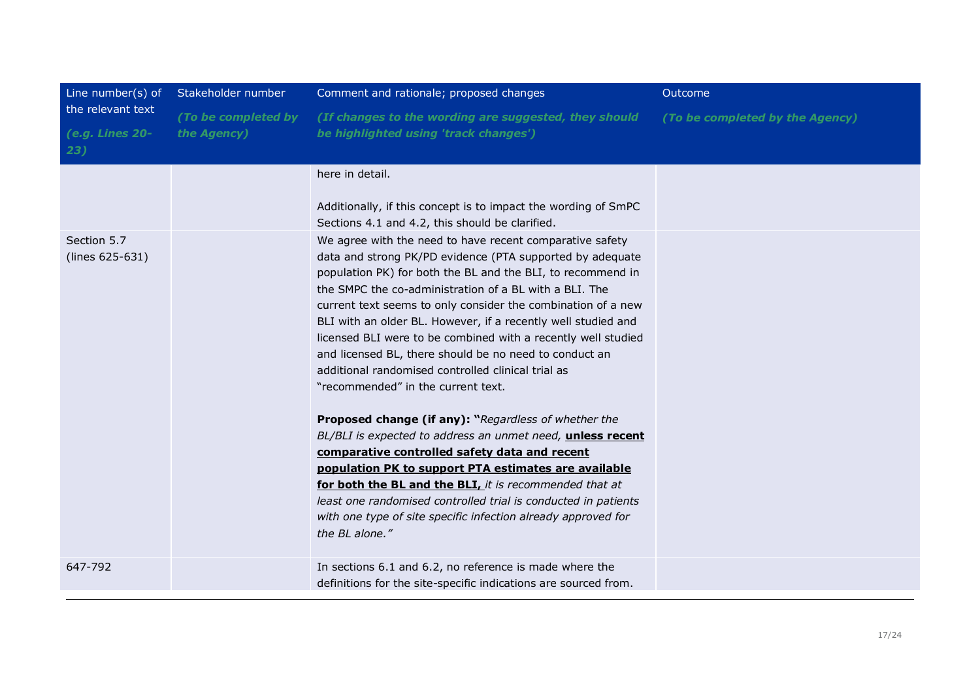| Line number(s) of<br>the relevant text<br>(e.g. Lines 20-<br>23) | Stakeholder number                 | Comment and rationale; proposed changes                                                                                                                                                                                                                                                                                                                                                                                                                                                                                                                                                                                                                                                                                                                                                                                                                                                                                                                                                                                                              | Outcome                         |
|------------------------------------------------------------------|------------------------------------|------------------------------------------------------------------------------------------------------------------------------------------------------------------------------------------------------------------------------------------------------------------------------------------------------------------------------------------------------------------------------------------------------------------------------------------------------------------------------------------------------------------------------------------------------------------------------------------------------------------------------------------------------------------------------------------------------------------------------------------------------------------------------------------------------------------------------------------------------------------------------------------------------------------------------------------------------------------------------------------------------------------------------------------------------|---------------------------------|
|                                                                  | (To be completed by<br>the Agency) | (If changes to the wording are suggested, they should<br>be highlighted using 'track changes')                                                                                                                                                                                                                                                                                                                                                                                                                                                                                                                                                                                                                                                                                                                                                                                                                                                                                                                                                       | (To be completed by the Agency) |
|                                                                  |                                    | here in detail.<br>Additionally, if this concept is to impact the wording of SmPC<br>Sections 4.1 and 4.2, this should be clarified.                                                                                                                                                                                                                                                                                                                                                                                                                                                                                                                                                                                                                                                                                                                                                                                                                                                                                                                 |                                 |
| Section 5.7<br>(lines 625-631)                                   |                                    | We agree with the need to have recent comparative safety<br>data and strong PK/PD evidence (PTA supported by adequate<br>population PK) for both the BL and the BLI, to recommend in<br>the SMPC the co-administration of a BL with a BLI. The<br>current text seems to only consider the combination of a new<br>BLI with an older BL. However, if a recently well studied and<br>licensed BLI were to be combined with a recently well studied<br>and licensed BL, there should be no need to conduct an<br>additional randomised controlled clinical trial as<br>"recommended" in the current text.<br>Proposed change (if any): "Regardless of whether the<br>BL/BLI is expected to address an unmet need, unless recent<br>comparative controlled safety data and recent<br>population PK to support PTA estimates are available<br>for both the BL and the BLI, it is recommended that at<br>least one randomised controlled trial is conducted in patients<br>with one type of site specific infection already approved for<br>the BL alone." |                                 |
| 647-792                                                          |                                    | In sections 6.1 and 6.2, no reference is made where the<br>definitions for the site-specific indications are sourced from.                                                                                                                                                                                                                                                                                                                                                                                                                                                                                                                                                                                                                                                                                                                                                                                                                                                                                                                           |                                 |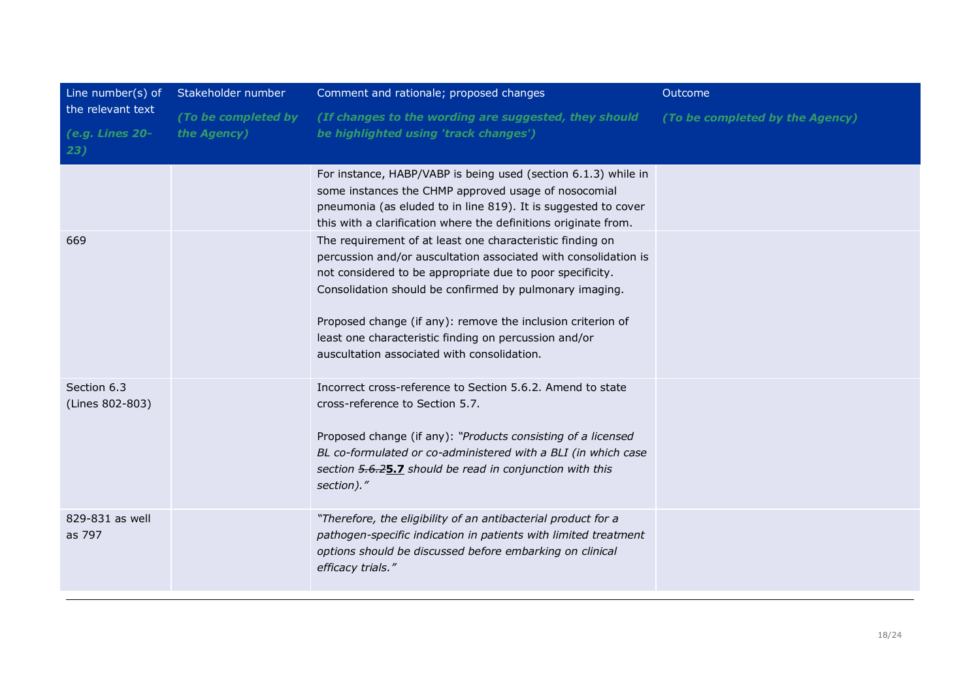| Line number(s) of                               | Stakeholder number                 | Comment and rationale; proposed changes                                                                                                                                                                                                                                                                                                                                                                                                                                                                                                                                                                                                                                                    | Outcome                         |
|-------------------------------------------------|------------------------------------|--------------------------------------------------------------------------------------------------------------------------------------------------------------------------------------------------------------------------------------------------------------------------------------------------------------------------------------------------------------------------------------------------------------------------------------------------------------------------------------------------------------------------------------------------------------------------------------------------------------------------------------------------------------------------------------------|---------------------------------|
| the relevant text<br>$(e.g.$ Lines $20-$<br>23) | (To be completed by<br>the Agency) | (If changes to the wording are suggested, they should<br>be highlighted using 'track changes')                                                                                                                                                                                                                                                                                                                                                                                                                                                                                                                                                                                             | (To be completed by the Agency) |
| 669                                             |                                    | For instance, HABP/VABP is being used (section 6.1.3) while in<br>some instances the CHMP approved usage of nosocomial<br>pneumonia (as eluded to in line 819). It is suggested to cover<br>this with a clarification where the definitions originate from.<br>The requirement of at least one characteristic finding on<br>percussion and/or auscultation associated with consolidation is<br>not considered to be appropriate due to poor specificity.<br>Consolidation should be confirmed by pulmonary imaging.<br>Proposed change (if any): remove the inclusion criterion of<br>least one characteristic finding on percussion and/or<br>auscultation associated with consolidation. |                                 |
| Section 6.3<br>(Lines 802-803)                  |                                    | Incorrect cross-reference to Section 5.6.2. Amend to state<br>cross-reference to Section 5.7.<br>Proposed change (if any): "Products consisting of a licensed<br>BL co-formulated or co-administered with a BLI (in which case<br>section 5.6.25.7 should be read in conjunction with this<br>section)."                                                                                                                                                                                                                                                                                                                                                                                   |                                 |
| 829-831 as well<br>as 797                       |                                    | "Therefore, the eligibility of an antibacterial product for a<br>pathogen-specific indication in patients with limited treatment<br>options should be discussed before embarking on clinical<br>efficacy trials."                                                                                                                                                                                                                                                                                                                                                                                                                                                                          |                                 |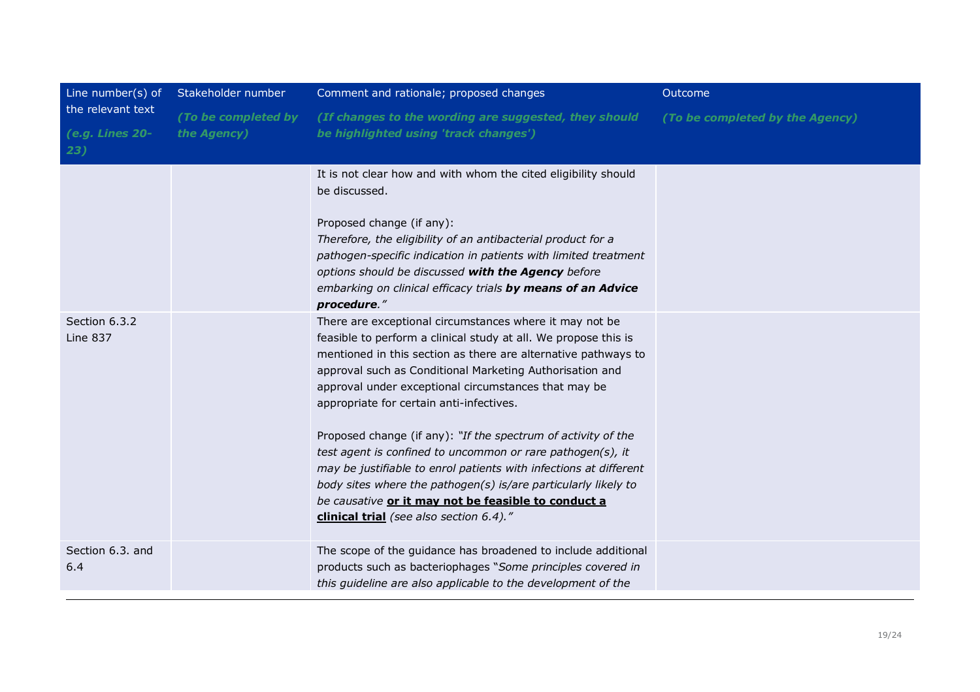| Line number(s) of<br>the relevant text<br>(e.g. Lines 20-<br>23) | Stakeholder number                 | Comment and rationale; proposed changes                                                                                                                                                                                                                                                                                                                                                                                                                                                                                                                                                                                                                                                                                              | Outcome                         |
|------------------------------------------------------------------|------------------------------------|--------------------------------------------------------------------------------------------------------------------------------------------------------------------------------------------------------------------------------------------------------------------------------------------------------------------------------------------------------------------------------------------------------------------------------------------------------------------------------------------------------------------------------------------------------------------------------------------------------------------------------------------------------------------------------------------------------------------------------------|---------------------------------|
|                                                                  | (To be completed by<br>the Agency) | (If changes to the wording are suggested, they should<br>be highlighted using 'track changes')                                                                                                                                                                                                                                                                                                                                                                                                                                                                                                                                                                                                                                       | (To be completed by the Agency) |
|                                                                  |                                    | It is not clear how and with whom the cited eligibility should<br>be discussed.<br>Proposed change (if any):<br>Therefore, the eligibility of an antibacterial product for a<br>pathogen-specific indication in patients with limited treatment<br>options should be discussed with the Agency before<br>embarking on clinical efficacy trials by means of an Advice<br>procedure."                                                                                                                                                                                                                                                                                                                                                  |                                 |
| Section 6.3.2<br>Line 837                                        |                                    | There are exceptional circumstances where it may not be<br>feasible to perform a clinical study at all. We propose this is<br>mentioned in this section as there are alternative pathways to<br>approval such as Conditional Marketing Authorisation and<br>approval under exceptional circumstances that may be<br>appropriate for certain anti-infectives.<br>Proposed change (if any): "If the spectrum of activity of the<br>test agent is confined to uncommon or rare pathogen(s), it<br>may be justifiable to enrol patients with infections at different<br>body sites where the pathogen(s) is/are particularly likely to<br>be causative or it may not be feasible to conduct a<br>clinical trial (see also section 6.4)." |                                 |
| Section 6.3. and<br>6.4                                          |                                    | The scope of the guidance has broadened to include additional<br>products such as bacteriophages "Some principles covered in<br>this guideline are also applicable to the development of the                                                                                                                                                                                                                                                                                                                                                                                                                                                                                                                                         |                                 |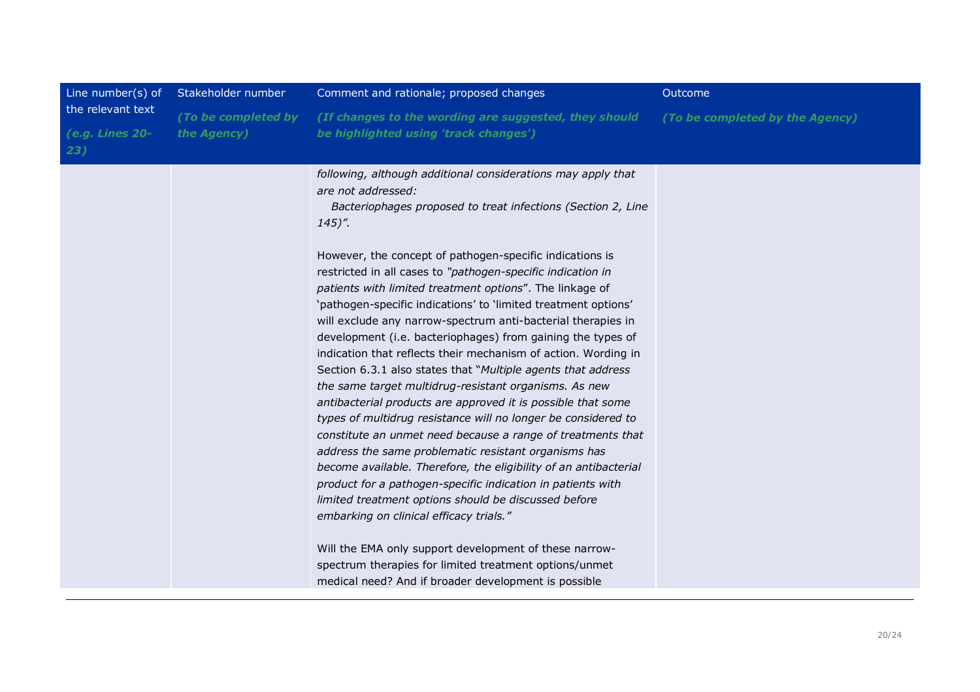| Line number(s) of                           | Stakeholder number                 | Comment and rationale; proposed changes                                                                                                                                                                                                                                                                                                                                                                                                                                                                                                                                                                                                                                                                                                                                                                                                                                                                                                                                                                                                                                                                                                                                                                                                                                                                                                                                                                                     | Outcome                         |
|---------------------------------------------|------------------------------------|-----------------------------------------------------------------------------------------------------------------------------------------------------------------------------------------------------------------------------------------------------------------------------------------------------------------------------------------------------------------------------------------------------------------------------------------------------------------------------------------------------------------------------------------------------------------------------------------------------------------------------------------------------------------------------------------------------------------------------------------------------------------------------------------------------------------------------------------------------------------------------------------------------------------------------------------------------------------------------------------------------------------------------------------------------------------------------------------------------------------------------------------------------------------------------------------------------------------------------------------------------------------------------------------------------------------------------------------------------------------------------------------------------------------------------|---------------------------------|
| the relevant text<br>(e.g. Lines 20-<br>23) | (To be completed by<br>the Agency) | (If changes to the wording are suggested, they should<br>be highlighted using 'track changes')                                                                                                                                                                                                                                                                                                                                                                                                                                                                                                                                                                                                                                                                                                                                                                                                                                                                                                                                                                                                                                                                                                                                                                                                                                                                                                                              | (To be completed by the Agency) |
|                                             |                                    | following, although additional considerations may apply that<br>are not addressed:<br>Bacteriophages proposed to treat infections (Section 2, Line<br>$145$ .<br>However, the concept of pathogen-specific indications is<br>restricted in all cases to "pathogen-specific indication in<br>patients with limited treatment options". The linkage of<br>'pathogen-specific indications' to 'limited treatment options'<br>will exclude any narrow-spectrum anti-bacterial therapies in<br>development (i.e. bacteriophages) from gaining the types of<br>indication that reflects their mechanism of action. Wording in<br>Section 6.3.1 also states that "Multiple agents that address"<br>the same target multidrug-resistant organisms. As new<br>antibacterial products are approved it is possible that some<br>types of multidrug resistance will no longer be considered to<br>constitute an unmet need because a range of treatments that<br>address the same problematic resistant organisms has<br>become available. Therefore, the eligibility of an antibacterial<br>product for a pathogen-specific indication in patients with<br>limited treatment options should be discussed before<br>embarking on clinical efficacy trials."<br>Will the EMA only support development of these narrow-<br>spectrum therapies for limited treatment options/unmet<br>medical need? And if broader development is possible |                                 |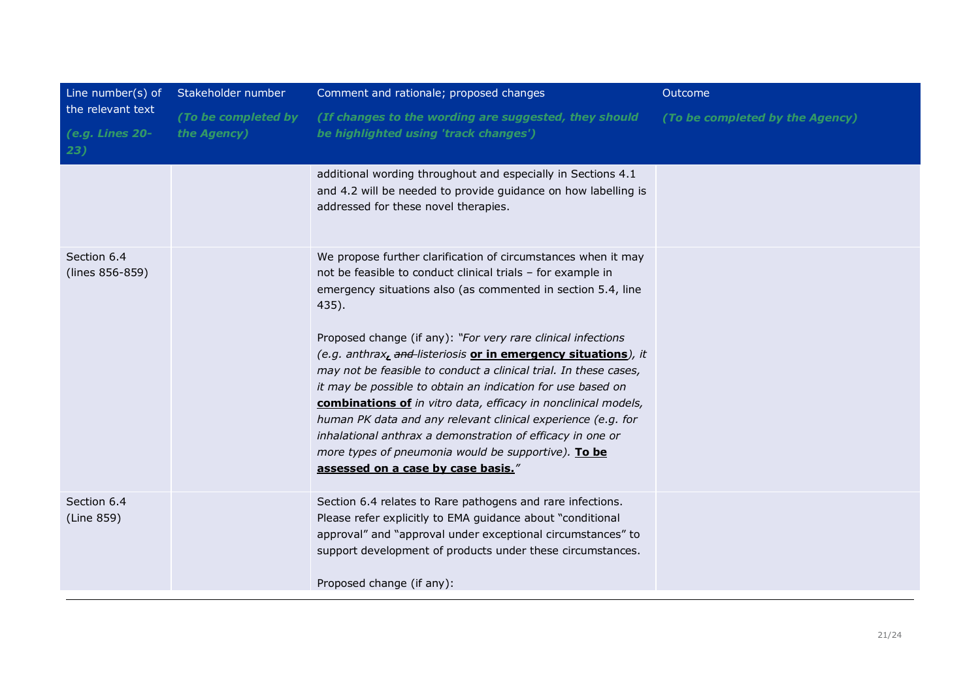| Line number(s) of<br>the relevant text<br>(e.g. Lines 20-<br>23) | Stakeholder number                 | Comment and rationale; proposed changes                                                                                                                                                                                                                                                                                                                                                                                                                                                                                                                                                                                                                                                                                                                                 | Outcome                         |
|------------------------------------------------------------------|------------------------------------|-------------------------------------------------------------------------------------------------------------------------------------------------------------------------------------------------------------------------------------------------------------------------------------------------------------------------------------------------------------------------------------------------------------------------------------------------------------------------------------------------------------------------------------------------------------------------------------------------------------------------------------------------------------------------------------------------------------------------------------------------------------------------|---------------------------------|
|                                                                  | (To be completed by<br>the Agency) | (If changes to the wording are suggested, they should<br>be highlighted using 'track changes')                                                                                                                                                                                                                                                                                                                                                                                                                                                                                                                                                                                                                                                                          | (To be completed by the Agency) |
|                                                                  |                                    | additional wording throughout and especially in Sections 4.1<br>and 4.2 will be needed to provide guidance on how labelling is<br>addressed for these novel therapies.                                                                                                                                                                                                                                                                                                                                                                                                                                                                                                                                                                                                  |                                 |
| Section 6.4<br>(lines 856-859)                                   |                                    | We propose further clarification of circumstances when it may<br>not be feasible to conduct clinical trials - for example in<br>emergency situations also (as commented in section 5.4, line<br>435).<br>Proposed change (if any): "For very rare clinical infections<br>(e.g. anthrax, and listeriosis or in emergency situations), it<br>may not be feasible to conduct a clinical trial. In these cases,<br>it may be possible to obtain an indication for use based on<br>combinations of in vitro data, efficacy in nonclinical models,<br>human PK data and any relevant clinical experience (e.g. for<br>inhalational anthrax a demonstration of efficacy in one or<br>more types of pneumonia would be supportive). To be<br>assessed on a case by case basis." |                                 |
| Section 6.4<br>(Line 859)                                        |                                    | Section 6.4 relates to Rare pathogens and rare infections.<br>Please refer explicitly to EMA guidance about "conditional<br>approval" and "approval under exceptional circumstances" to<br>support development of products under these circumstances.<br>Proposed change (if any):                                                                                                                                                                                                                                                                                                                                                                                                                                                                                      |                                 |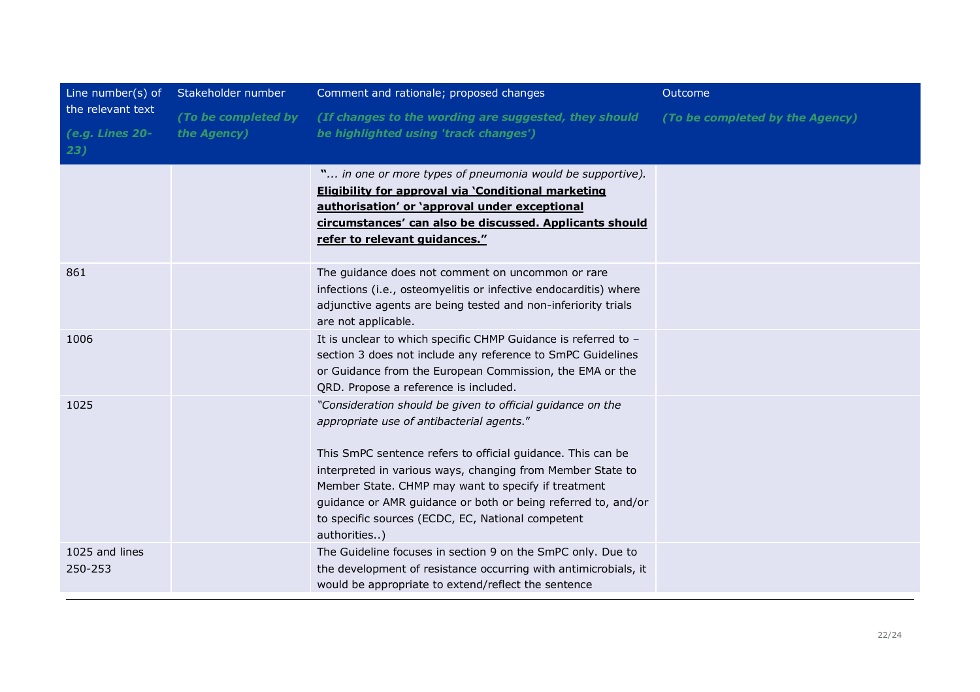| Line number(s) of                             | Stakeholder number                 | Comment and rationale; proposed changes                                                                                                                                                                                                                                                                                                                                                                                           | Outcome                         |
|-----------------------------------------------|------------------------------------|-----------------------------------------------------------------------------------------------------------------------------------------------------------------------------------------------------------------------------------------------------------------------------------------------------------------------------------------------------------------------------------------------------------------------------------|---------------------------------|
| the relevant text<br>(e.g. Lines $20-$<br>23) | (To be completed by<br>the Agency) | (If changes to the wording are suggested, they should<br>be highlighted using 'track changes')                                                                                                                                                                                                                                                                                                                                    | (To be completed by the Agency) |
|                                               |                                    | " in one or more types of pneumonia would be supportive).<br>Eligibility for approval via 'Conditional marketing<br>authorisation' or 'approval under exceptional<br>circumstances' can also be discussed. Applicants should<br>refer to relevant guidances."                                                                                                                                                                     |                                 |
| 861                                           |                                    | The guidance does not comment on uncommon or rare<br>infections (i.e., osteomyelitis or infective endocarditis) where<br>adjunctive agents are being tested and non-inferiority trials<br>are not applicable.                                                                                                                                                                                                                     |                                 |
| 1006                                          |                                    | It is unclear to which specific CHMP Guidance is referred to -<br>section 3 does not include any reference to SmPC Guidelines<br>or Guidance from the European Commission, the EMA or the<br>QRD. Propose a reference is included.                                                                                                                                                                                                |                                 |
| 1025                                          |                                    | "Consideration should be given to official guidance on the<br>appropriate use of antibacterial agents."<br>This SmPC sentence refers to official guidance. This can be<br>interpreted in various ways, changing from Member State to<br>Member State. CHMP may want to specify if treatment<br>guidance or AMR guidance or both or being referred to, and/or<br>to specific sources (ECDC, EC, National competent<br>authorities) |                                 |
| 1025 and lines<br>250-253                     |                                    | The Guideline focuses in section 9 on the SmPC only. Due to<br>the development of resistance occurring with antimicrobials, it<br>would be appropriate to extend/reflect the sentence                                                                                                                                                                                                                                             |                                 |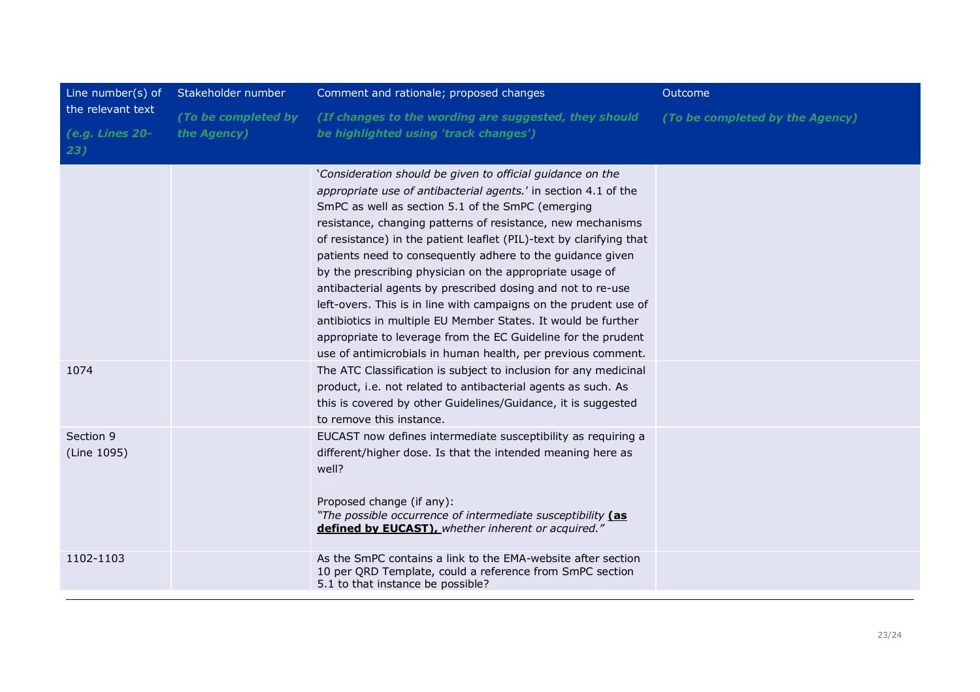| Line number(s) of<br>the relevant text<br>(e.g. Lines 20-<br>23) | Stakeholder number                 | Comment and rationale; proposed changes                                                                                                                                                                                                                                                                                                                                                                                                                                                                                                                                                                                                                                                                                                                                                 | Outcome                         |
|------------------------------------------------------------------|------------------------------------|-----------------------------------------------------------------------------------------------------------------------------------------------------------------------------------------------------------------------------------------------------------------------------------------------------------------------------------------------------------------------------------------------------------------------------------------------------------------------------------------------------------------------------------------------------------------------------------------------------------------------------------------------------------------------------------------------------------------------------------------------------------------------------------------|---------------------------------|
|                                                                  | (To be completed by<br>the Agency) | (If changes to the wording are suggested, they should<br>be highlighted using 'track changes')                                                                                                                                                                                                                                                                                                                                                                                                                                                                                                                                                                                                                                                                                          | (To be completed by the Agency) |
|                                                                  |                                    | 'Consideration should be given to official guidance on the<br>appropriate use of antibacterial agents.' in section 4.1 of the<br>SmPC as well as section 5.1 of the SmPC (emerging<br>resistance, changing patterns of resistance, new mechanisms<br>of resistance) in the patient leaflet (PIL)-text by clarifying that<br>patients need to consequently adhere to the guidance given<br>by the prescribing physician on the appropriate usage of<br>antibacterial agents by prescribed dosing and not to re-use<br>left-overs. This is in line with campaigns on the prudent use of<br>antibiotics in multiple EU Member States. It would be further<br>appropriate to leverage from the EC Guideline for the prudent<br>use of antimicrobials in human health, per previous comment. |                                 |
| 1074                                                             |                                    | The ATC Classification is subject to inclusion for any medicinal<br>product, i.e. not related to antibacterial agents as such. As<br>this is covered by other Guidelines/Guidance, it is suggested<br>to remove this instance.                                                                                                                                                                                                                                                                                                                                                                                                                                                                                                                                                          |                                 |
| Section 9<br>(Line 1095)                                         |                                    | EUCAST now defines intermediate susceptibility as requiring a<br>different/higher dose. Is that the intended meaning here as<br>well?<br>Proposed change (if any):<br>"The possible occurrence of intermediate susceptibility (as<br>defined by EUCAST), whether inherent or acquired."                                                                                                                                                                                                                                                                                                                                                                                                                                                                                                 |                                 |
| 1102-1103                                                        |                                    | As the SmPC contains a link to the EMA-website after section<br>10 per QRD Template, could a reference from SmPC section<br>5.1 to that instance be possible?                                                                                                                                                                                                                                                                                                                                                                                                                                                                                                                                                                                                                           |                                 |